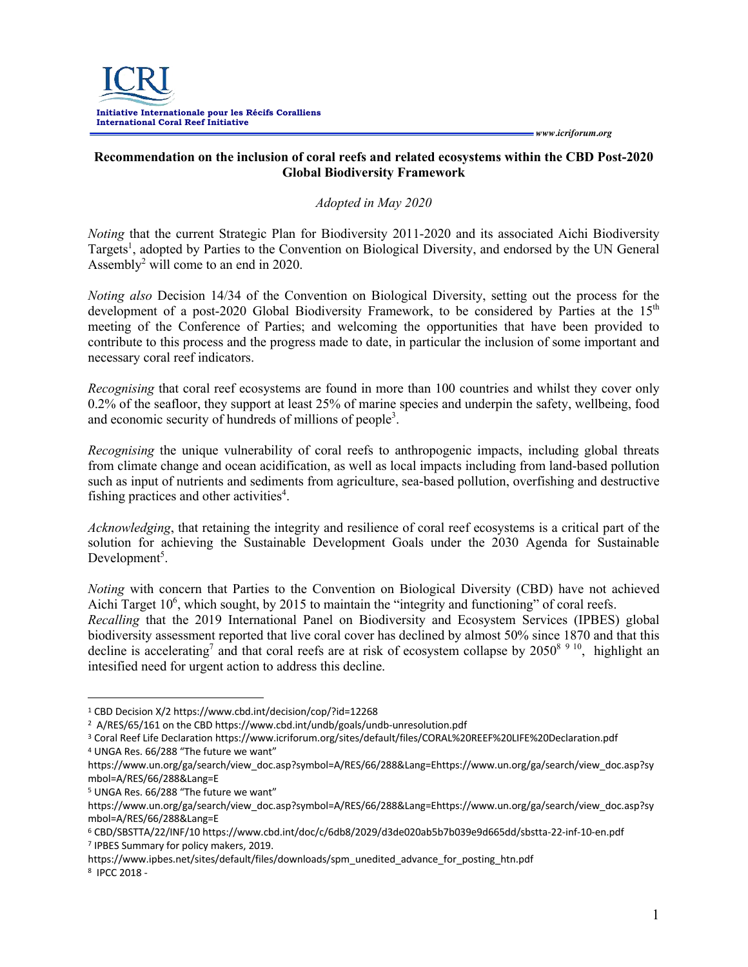

## **Recommendation on the inclusion of coral reefs and related ecosystems within the CBD Post-2020 Global Biodiversity Framework**

#### *Adopted in May 2020*

*Noting* that the current Strategic Plan for Biodiversity 2011-2020 and its associated Aichi Biodiversity Targets<sup>1</sup>, adopted by Parties to the Convention on Biological Diversity, and endorsed by the UN General Assembly2 will come to an end in 2020.

*Noting also* Decision 14/34 of the Convention on Biological Diversity, setting out the process for the development of a post-2020 Global Biodiversity Framework, to be considered by Parties at the  $15<sup>th</sup>$ meeting of the Conference of Parties; and welcoming the opportunities that have been provided to contribute to this process and the progress made to date, in particular the inclusion of some important and necessary coral reef indicators.

*Recognising* that coral reef ecosystems are found in more than 100 countries and whilst they cover only 0.2% of the seafloor, they support at least 25% of marine species and underpin the safety, wellbeing, food and economic security of hundreds of millions of people<sup>3</sup>.

*Recognising* the unique vulnerability of coral reefs to anthropogenic impacts, including global threats from climate change and ocean acidification, as well as local impacts including from land-based pollution such as input of nutrients and sediments from agriculture, sea-based pollution, overfishing and destructive fishing practices and other activities $4$ .

*Acknowledging*, that retaining the integrity and resilience of coral reef ecosystems is a critical part of the solution for achieving the Sustainable Development Goals under the 2030 Agenda for Sustainable Development<sup>5</sup>.

*Noting* with concern that Parties to the Convention on Biological Diversity (CBD) have not achieved Aichi Target 10<sup>6</sup>, which sought, by 2015 to maintain the "integrity and functioning" of coral reefs. *Recalling* that the 2019 International Panel on Biodiversity and Ecosystem Services (IPBES) global biodiversity assessment reported that live coral cover has declined by almost 50% since 1870 and that this decline is accelerating<sup>7</sup> and that coral reefs are at risk of ecosystem collapse by  $2050^{8}$ <sup>9 10</sup>, highlight an

intesified need for urgent action to address this decline.

<sup>5</sup> UNGA Res. 66/288 "The future we want"

https://www.ipbes.net/sites/default/files/downloads/spm\_unedited\_advance\_for\_posting\_htn.pdf

<sup>1</sup> CBD Decision X/2 https://www.cbd.int/decision/cop/?id=12268

<sup>&</sup>lt;sup>2</sup> A/RES/65/161 on the CBD https://www.cbd.int/undb/goals/undb-unresolution.pdf

<sup>3</sup> Coral Reef Life Declaration https://www.icriforum.org/sites/default/files/CORAL%20REEF%20LIFE%20Declaration.pdf <sup>4</sup> UNGA Res. 66/288 "The future we want"

https://www.un.org/ga/search/view\_doc.asp?symbol=A/RES/66/288&Lang=Ehttps://www.un.org/ga/search/view\_doc.asp?sy mbol=A/RES/66/288&Lang=E

https://www.un.org/ga/search/view\_doc.asp?symbol=A/RES/66/288&Lang=Ehttps://www.un.org/ga/search/view\_doc.asp?sy mbol=A/RES/66/288&Lang=E

<sup>6</sup> CBD/SBSTTA/22/INF/10 https://www.cbd.int/doc/c/6db8/2029/d3de020ab5b7b039e9d665dd/sbstta-22-inf-10-en.pdf <sup>7</sup> IPBES Summary for policy makers, 2019.

<sup>8</sup> IPCC 2018 -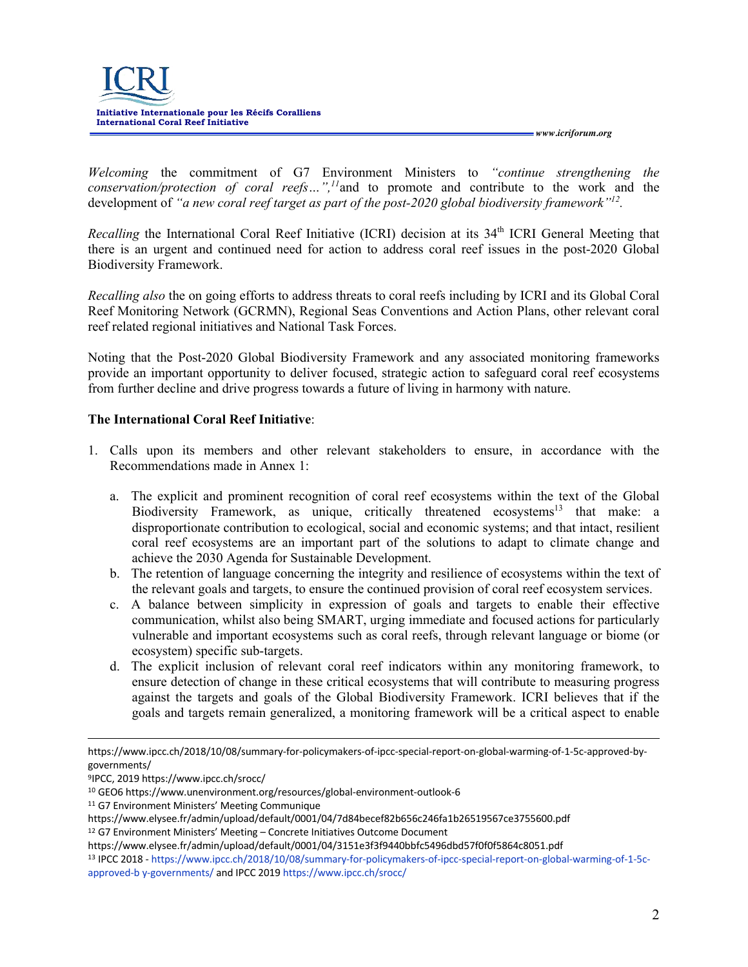

*Welcoming* the commitment of G7 Environment Ministers to *"continue strengthening the conservation/protection of coral reefs…",11*and to promote and contribute to the work and the development of *"a new coral reef target as part of the post-2020 global biodiversity framework"12.*

*Recalling* the International Coral Reef Initiative (ICRI) decision at its 34<sup>th</sup> ICRI General Meeting that there is an urgent and continued need for action to address coral reef issues in the post-2020 Global Biodiversity Framework.

*Recalling also* the on going efforts to address threats to coral reefs including by ICRI and its Global Coral Reef Monitoring Network (GCRMN), Regional Seas Conventions and Action Plans, other relevant coral reef related regional initiatives and National Task Forces.

Noting that the Post-2020 Global Biodiversity Framework and any associated monitoring frameworks provide an important opportunity to deliver focused, strategic action to safeguard coral reef ecosystems from further decline and drive progress towards a future of living in harmony with nature.

## **The International Coral Reef Initiative**:

- 1. Calls upon its members and other relevant stakeholders to ensure, in accordance with the Recommendations made in Annex 1:
	- a. The explicit and prominent recognition of coral reef ecosystems within the text of the Global Biodiversity Framework, as unique, critically threatened ecosystems <sup>13</sup> that make: a disproportionate contribution to ecological, social and economic systems; and that intact, resilient coral reef ecosystems are an important part of the solutions to adapt to climate change and achieve the 2030 Agenda for Sustainable Development.
	- b. The retention of language concerning the integrity and resilience of ecosystems within the text of the relevant goals and targets, to ensure the continued provision of coral reef ecosystem services.
	- c. A balance between simplicity in expression of goals and targets to enable their effective communication, whilst also being SMART, urging immediate and focused actions for particularly vulnerable and important ecosystems such as coral reefs, through relevant language or biome (or ecosystem) specific sub-targets.
	- d. The explicit inclusion of relevant coral reef indicators within any monitoring framework, to ensure detection of change in these critical ecosystems that will contribute to measuring progress against the targets and goals of the Global Biodiversity Framework. ICRI believes that if the goals and targets remain generalized, a monitoring framework will be a critical aspect to enable

9IPCC, 2019 https://www.ipcc.ch/srocc/

https://www.ipcc.ch/2018/10/08/summary-for-policymakers-of-ipcc-special-report-on-global-warming-of-1-5c-approved-bygovernments/

<sup>10</sup> GEO6 https://www.unenvironment.org/resources/global-environment-outlook-6

<sup>11</sup> G7 Environment Ministers' Meeting Communique

https://www.elysee.fr/admin/upload/default/0001/04/7d84becef82b656c246fa1b26519567ce3755600.pdf

<sup>12</sup> G7 Environment Ministers' Meeting – Concrete Initiatives Outcome Document

https://www.elysee.fr/admin/upload/default/0001/04/3151e3f3f9440bbfc5496dbd57f0f0f5864c8051.pdf

<sup>13</sup> IPCC 2018 - https://www.ipcc.ch/2018/10/08/summary-for-policymakers-of-ipcc-special-report-on-global-warming-of-1-5capproved-b y-governments/ and IPCC 2019 https://www.ipcc.ch/srocc/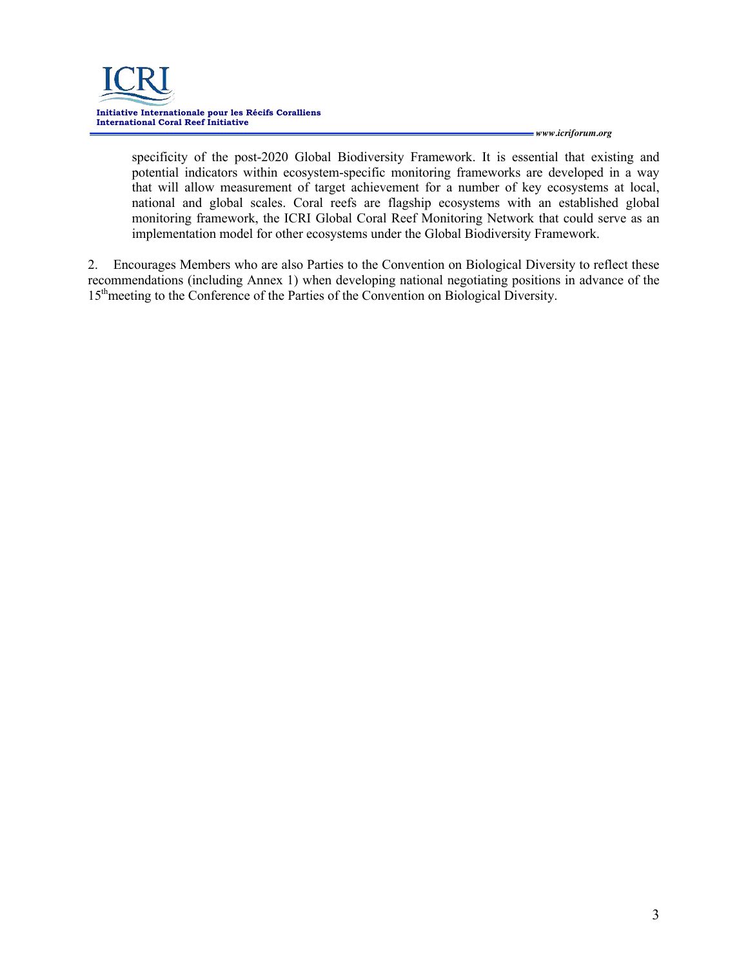

specificity of the post-2020 Global Biodiversity Framework. It is essential that existing and potential indicators within ecosystem-specific monitoring frameworks are developed in a way that will allow measurement of target achievement for a number of key ecosystems at local, national and global scales. Coral reefs are flagship ecosystems with an established global monitoring framework, the ICRI Global Coral Reef Monitoring Network that could serve as an implementation model for other ecosystems under the Global Biodiversity Framework.

2. Encourages Members who are also Parties to the Convention on Biological Diversity to reflect these recommendations (including Annex 1) when developing national negotiating positions in advance of the 15<sup>th</sup>meeting to the Conference of the Parties of the Convention on Biological Diversity.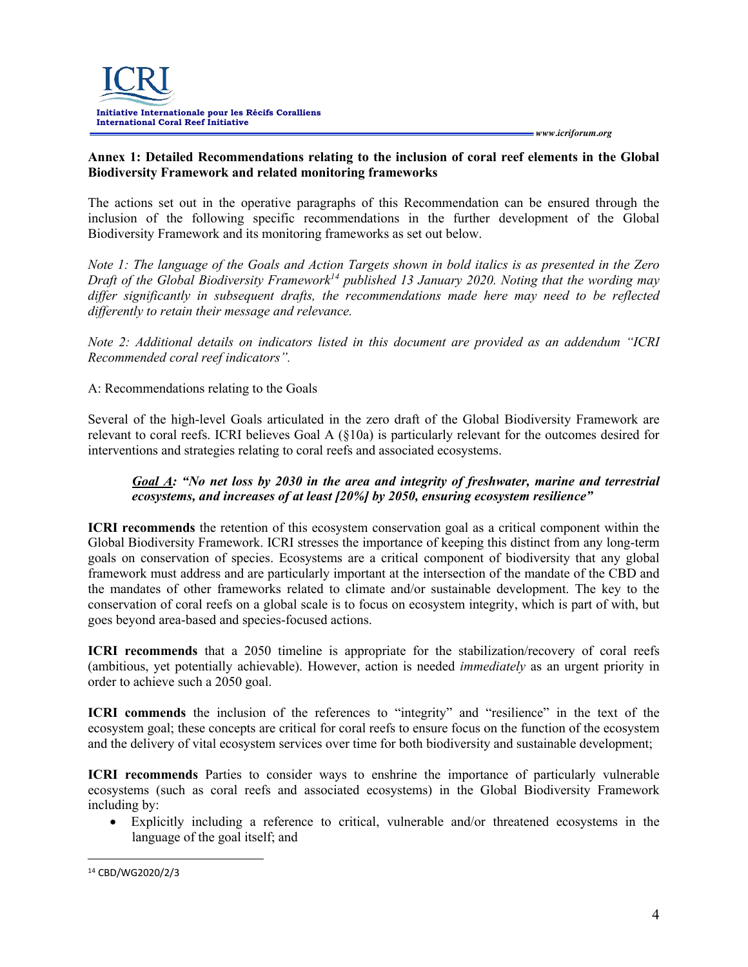## **Annex 1: Detailed Recommendations relating to the inclusion of coral reef elements in the Global Biodiversity Framework and related monitoring frameworks**

The actions set out in the operative paragraphs of this Recommendation can be ensured through the inclusion of the following specific recommendations in the further development of the Global Biodiversity Framework and its monitoring frameworks as set out below.

*Note 1: The language of the Goals and Action Targets shown in bold italics is as presented in the Zero Draft of the Global Biodiversity Framework*<sup>14</sup> *published 13 January 2020. Noting that the wording may differ significantly in subsequent drafts, the recommendations made here may need to be reflected differently to retain their message and relevance.* 

*Note 2: Additional details on indicators listed in this document are provided as an addendum "ICRI Recommended coral reef indicators".*

A: Recommendations relating to the Goals

Several of the high-level Goals articulated in the zero draft of the Global Biodiversity Framework are relevant to coral reefs. ICRI believes Goal A (§10a) is particularly relevant for the outcomes desired for interventions and strategies relating to coral reefs and associated ecosystems.

## *Goal A: "No net loss by 2030 in the area and integrity of freshwater, marine and terrestrial ecosystems, and increases of at least [20%] by 2050, ensuring ecosystem resilience"*

**ICRI recommends** the retention of this ecosystem conservation goal as a critical component within the Global Biodiversity Framework. ICRI stresses the importance of keeping this distinct from any long-term goals on conservation of species. Ecosystems are a critical component of biodiversity that any global framework must address and are particularly important at the intersection of the mandate of the CBD and the mandates of other frameworks related to climate and/or sustainable development. The key to the conservation of coral reefs on a global scale is to focus on ecosystem integrity, which is part of with, but goes beyond area-based and species-focused actions.

**ICRI recommends** that a 2050 timeline is appropriate for the stabilization/recovery of coral reefs (ambitious, yet potentially achievable). However, action is needed *immediately* as an urgent priority in order to achieve such a 2050 goal.

**ICRI commends** the inclusion of the references to "integrity" and "resilience" in the text of the ecosystem goal; these concepts are critical for coral reefs to ensure focus on the function of the ecosystem and the delivery of vital ecosystem services over time for both biodiversity and sustainable development;

**ICRI recommends** Parties to consider ways to enshrine the importance of particularly vulnerable ecosystems (such as coral reefs and associated ecosystems) in the Global Biodiversity Framework including by:

• Explicitly including a reference to critical, vulnerable and/or threatened ecosystems in the language of the goal itself; and

<sup>14</sup> CBD/WG2020/2/3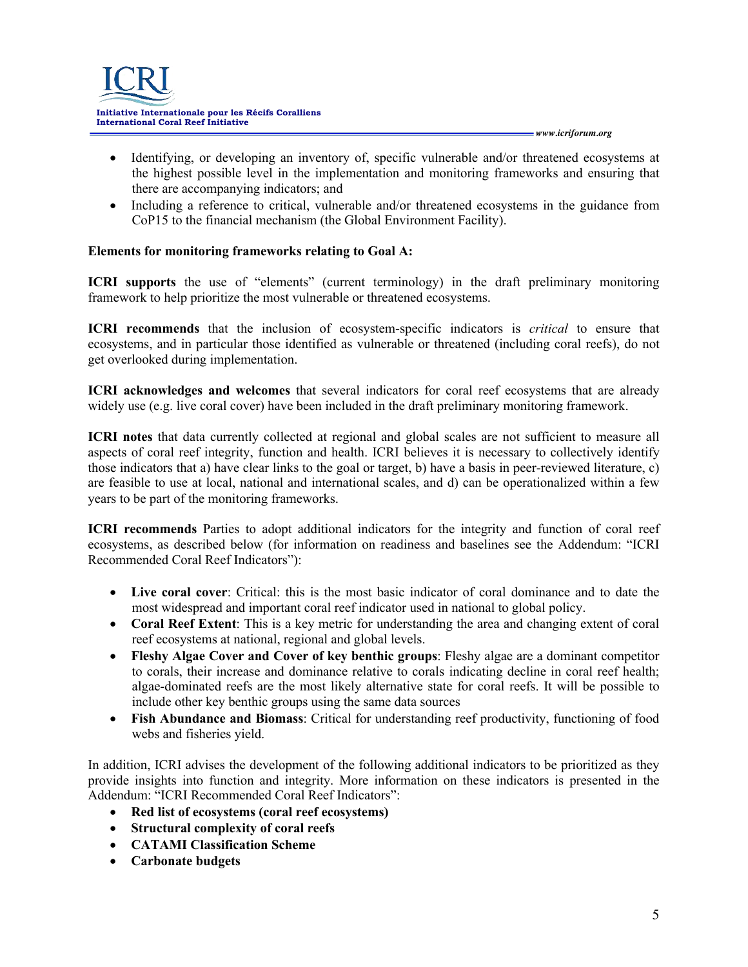

- Identifying, or developing an inventory of, specific vulnerable and/or threatened ecosystems at the highest possible level in the implementation and monitoring frameworks and ensuring that there are accompanying indicators; and
- Including a reference to critical, vulnerable and/or threatened ecosystems in the guidance from CoP15 to the financial mechanism (the Global Environment Facility).

## **Elements for monitoring frameworks relating to Goal A:**

**ICRI supports** the use of "elements" (current terminology) in the draft preliminary monitoring framework to help prioritize the most vulnerable or threatened ecosystems.

**ICRI recommends** that the inclusion of ecosystem-specific indicators is *critical* to ensure that ecosystems, and in particular those identified as vulnerable or threatened (including coral reefs), do not get overlooked during implementation.

**ICRI acknowledges and welcomes** that several indicators for coral reef ecosystems that are already widely use (e.g. live coral cover) have been included in the draft preliminary monitoring framework.

**ICRI notes** that data currently collected at regional and global scales are not sufficient to measure all aspects of coral reef integrity, function and health. ICRI believes it is necessary to collectively identify those indicators that a) have clear links to the goal or target, b) have a basis in peer-reviewed literature, c) are feasible to use at local, national and international scales, and d) can be operationalized within a few years to be part of the monitoring frameworks.

**ICRI recommends** Parties to adopt additional indicators for the integrity and function of coral reef ecosystems, as described below (for information on readiness and baselines see the Addendum: "ICRI Recommended Coral Reef Indicators"):

- **Live coral cover**: Critical: this is the most basic indicator of coral dominance and to date the most widespread and important coral reef indicator used in national to global policy.
- **Coral Reef Extent**: This is a key metric for understanding the area and changing extent of coral reef ecosystems at national, regional and global levels.
- **Fleshy Algae Cover and Cover of key benthic groups**: Fleshy algae are a dominant competitor to corals, their increase and dominance relative to corals indicating decline in coral reef health; algae-dominated reefs are the most likely alternative state for coral reefs. It will be possible to include other key benthic groups using the same data sources
- **Fish Abundance and Biomass**: Critical for understanding reef productivity, functioning of food webs and fisheries yield.

In addition, ICRI advises the development of the following additional indicators to be prioritized as they provide insights into function and integrity. More information on these indicators is presented in the Addendum: "ICRI Recommended Coral Reef Indicators":

- **Red list of ecosystems (coral reef ecosystems)**
- **Structural complexity of coral reefs**
- **CATAMI Classification Scheme**
- **Carbonate budgets**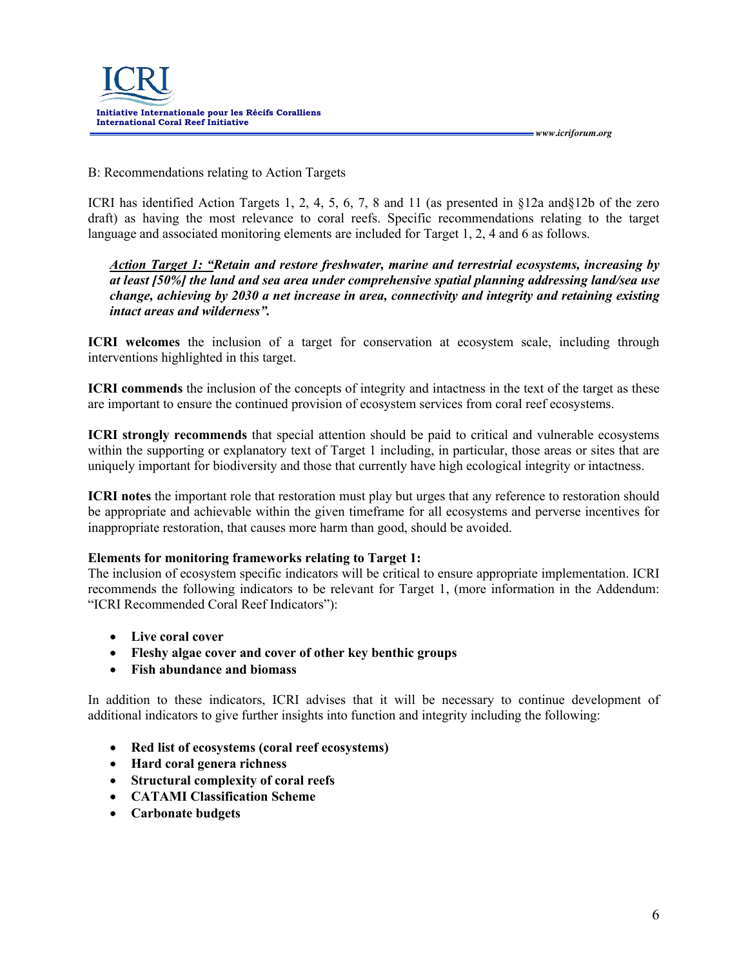

#### B: Recommendations relating to Action Targets

ICRI has identified Action Targets 1, 2, 4, 5, 6, 7, 8 and 11 (as presented in §12a and§12b of the zero draft) as having the most relevance to coral reefs. Specific recommendations relating to the target language and associated monitoring elements are included for Target 1, 2, 4 and 6 as follows.

*Action Target 1: "Retain and restore freshwater, marine and terrestrial ecosystems, increasing by at least [50%] the land and sea area under comprehensive spatial planning addressing land/sea use change, achieving by 2030 a net increase in area, connectivity and integrity and retaining existing intact areas and wilderness".*

**ICRI welcomes** the inclusion of a target for conservation at ecosystem scale, including through interventions highlighted in this target.

**ICRI commends** the inclusion of the concepts of integrity and intactness in the text of the target as these are important to ensure the continued provision of ecosystem services from coral reef ecosystems.

**ICRI strongly recommends** that special attention should be paid to critical and vulnerable ecosystems within the supporting or explanatory text of Target 1 including, in particular, those areas or sites that are uniquely important for biodiversity and those that currently have high ecological integrity or intactness.

**ICRI notes** the important role that restoration must play but urges that any reference to restoration should be appropriate and achievable within the given timeframe for all ecosystems and perverse incentives for inappropriate restoration, that causes more harm than good, should be avoided.

## **Elements for monitoring frameworks relating to Target 1:**

The inclusion of ecosystem specific indicators will be critical to ensure appropriate implementation. ICRI recommends the following indicators to be relevant for Target 1, (more information in the Addendum: "ICRI Recommended Coral Reef Indicators"):

- **Live coral cover**
- **Fleshy algae cover and cover of other key benthic groups**
- **Fish abundance and biomass**

In addition to these indicators, ICRI advises that it will be necessary to continue development of additional indicators to give further insights into function and integrity including the following:

- **Red list of ecosystems (coral reef ecosystems)**
- **Hard coral genera richness**
- **Structural complexity of coral reefs**
- **CATAMI Classification Scheme**
- **Carbonate budgets**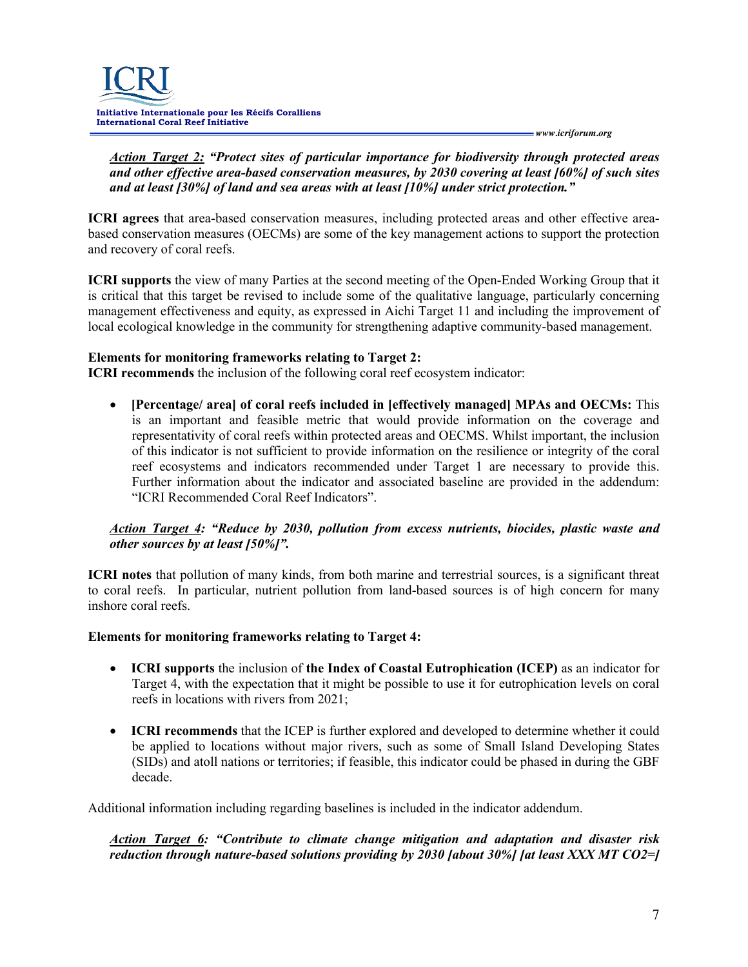

*Action Target 2: "Protect sites of particular importance for biodiversity through protected areas and other effective area-based conservation measures, by 2030 covering at least [60%] of such sites and at least [30%] of land and sea areas with at least [10%] under strict protection."*

**ICRI agrees** that area-based conservation measures, including protected areas and other effective areabased conservation measures (OECMs) are some of the key management actions to support the protection and recovery of coral reefs.

**ICRI supports** the view of many Parties at the second meeting of the Open-Ended Working Group that it is critical that this target be revised to include some of the qualitative language, particularly concerning management effectiveness and equity, as expressed in Aichi Target 11 and including the improvement of local ecological knowledge in the community for strengthening adaptive community-based management.

## **Elements for monitoring frameworks relating to Target 2:**

**ICRI recommends** the inclusion of the following coral reef ecosystem indicator:

• **[Percentage/ area] of coral reefs included in [effectively managed] MPAs and OECMs:** This is an important and feasible metric that would provide information on the coverage and representativity of coral reefs within protected areas and OECMS. Whilst important, the inclusion of this indicator is not sufficient to provide information on the resilience or integrity of the coral reef ecosystems and indicators recommended under Target 1 are necessary to provide this. Further information about the indicator and associated baseline are provided in the addendum: "ICRI Recommended Coral Reef Indicators".

## *Action Target 4: "Reduce by 2030, pollution from excess nutrients, biocides, plastic waste and other sources by at least [50%]".*

**ICRI notes** that pollution of many kinds, from both marine and terrestrial sources, is a significant threat to coral reefs. In particular, nutrient pollution from land-based sources is of high concern for many inshore coral reefs.

#### **Elements for monitoring frameworks relating to Target 4:**

- **ICRI supports** the inclusion of **the Index of Coastal Eutrophication (ICEP)** as an indicator for Target 4, with the expectation that it might be possible to use it for eutrophication levels on coral reefs in locations with rivers from 2021;
- **ICRI recommends** that the ICEP is further explored and developed to determine whether it could be applied to locations without major rivers, such as some of Small Island Developing States (SIDs) and atoll nations or territories; if feasible, this indicator could be phased in during the GBF decade.

Additional information including regarding baselines is included in the indicator addendum.

*Action Target 6: "Contribute to climate change mitigation and adaptation and disaster risk reduction through nature-based solutions providing by 2030 [about 30%] [at least XXX MT CO2=]*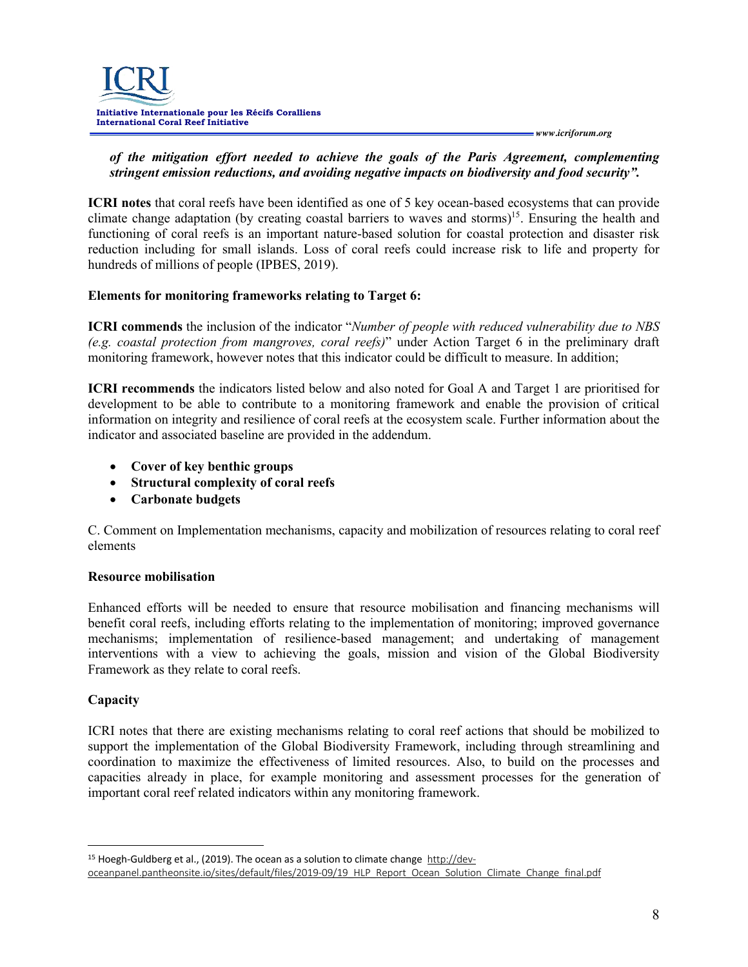

#### *of the mitigation effort needed to achieve the goals of the Paris Agreement, complementing stringent emission reductions, and avoiding negative impacts on biodiversity and food security".*

**ICRI notes** that coral reefs have been identified as one of 5 key ocean-based ecosystems that can provide climate change adaptation (by creating coastal barriers to waves and storms)<sup>15</sup>. Ensuring the health and functioning of coral reefs is an important nature-based solution for coastal protection and disaster risk reduction including for small islands. Loss of coral reefs could increase risk to life and property for hundreds of millions of people (IPBES, 2019).

## **Elements for monitoring frameworks relating to Target 6:**

**ICRI commends** the inclusion of the indicator "*Number of people with reduced vulnerability due to NBS (e.g. coastal protection from mangroves, coral reefs)*" under Action Target 6 in the preliminary draft monitoring framework, however notes that this indicator could be difficult to measure. In addition;

**ICRI recommends** the indicators listed below and also noted for Goal A and Target 1 are prioritised for development to be able to contribute to a monitoring framework and enable the provision of critical information on integrity and resilience of coral reefs at the ecosystem scale. Further information about the indicator and associated baseline are provided in the addendum.

- **Cover of key benthic groups**
- **Structural complexity of coral reefs**
- **Carbonate budgets**

C. Comment on Implementation mechanisms, capacity and mobilization of resources relating to coral reef elements

#### **Resource mobilisation**

Enhanced efforts will be needed to ensure that resource mobilisation and financing mechanisms will benefit coral reefs, including efforts relating to the implementation of monitoring; improved governance mechanisms; implementation of resilience-based management; and undertaking of management interventions with a view to achieving the goals, mission and vision of the Global Biodiversity Framework as they relate to coral reefs.

## **Capacity**

ICRI notes that there are existing mechanisms relating to coral reef actions that should be mobilized to support the implementation of the Global Biodiversity Framework, including through streamlining and coordination to maximize the effectiveness of limited resources. Also, to build on the processes and capacities already in place, for example monitoring and assessment processes for the generation of important coral reef related indicators within any monitoring framework.

<sup>&</sup>lt;sup>15</sup> Hoegh-Guldberg et al., (2019). The ocean as a solution to climate change http://devoceanpanel.pantheonsite.io/sites/default/files/2019-09/19\_HLP\_Report\_Ocean\_Solution\_Climate\_Change\_final.pdf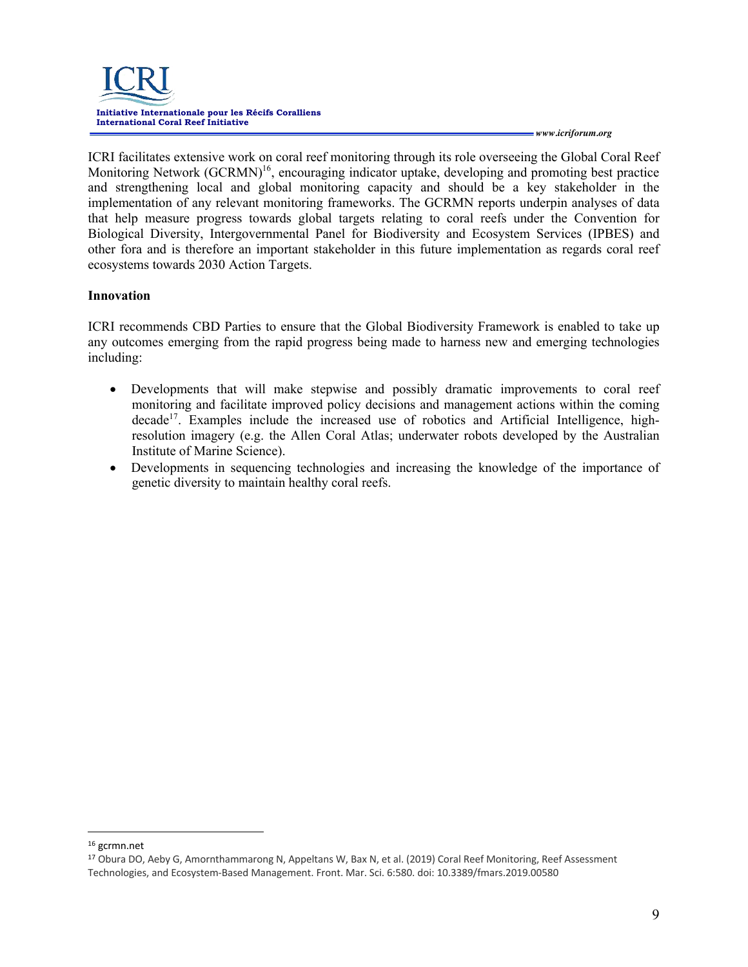

ICRI facilitates extensive work on coral reef monitoring through its role overseeing the Global Coral Reef Monitoring Network  $(GCRMN)^{16}$ , encouraging indicator uptake, developing and promoting best practice and strengthening local and global monitoring capacity and should be a key stakeholder in the implementation of any relevant monitoring frameworks. The GCRMN reports underpin analyses of data that help measure progress towards global targets relating to coral reefs under the Convention for Biological Diversity, Intergovernmental Panel for Biodiversity and Ecosystem Services (IPBES) and other fora and is therefore an important stakeholder in this future implementation as regards coral reef ecosystems towards 2030 Action Targets.

#### **Innovation**

ICRI recommends CBD Parties to ensure that the Global Biodiversity Framework is enabled to take up any outcomes emerging from the rapid progress being made to harness new and emerging technologies including:

- Developments that will make stepwise and possibly dramatic improvements to coral reef monitoring and facilitate improved policy decisions and management actions within the coming  $\beta$  decade<sup>17</sup>. Examples include the increased use of robotics and Artificial Intelligence, highresolution imagery (e.g. the Allen Coral Atlas; underwater robots developed by the Australian Institute of Marine Science).
- Developments in sequencing technologies and increasing the knowledge of the importance of genetic diversity to maintain healthy coral reefs.

<sup>16</sup> gcrmn.net

<sup>17</sup> Obura DO, Aeby G, Amornthammarong N, Appeltans W, Bax N, et al. (2019) Coral Reef Monitoring, Reef Assessment Technologies, and Ecosystem-Based Management. Front. Mar. Sci. 6:580. doi: 10.3389/fmars.2019.00580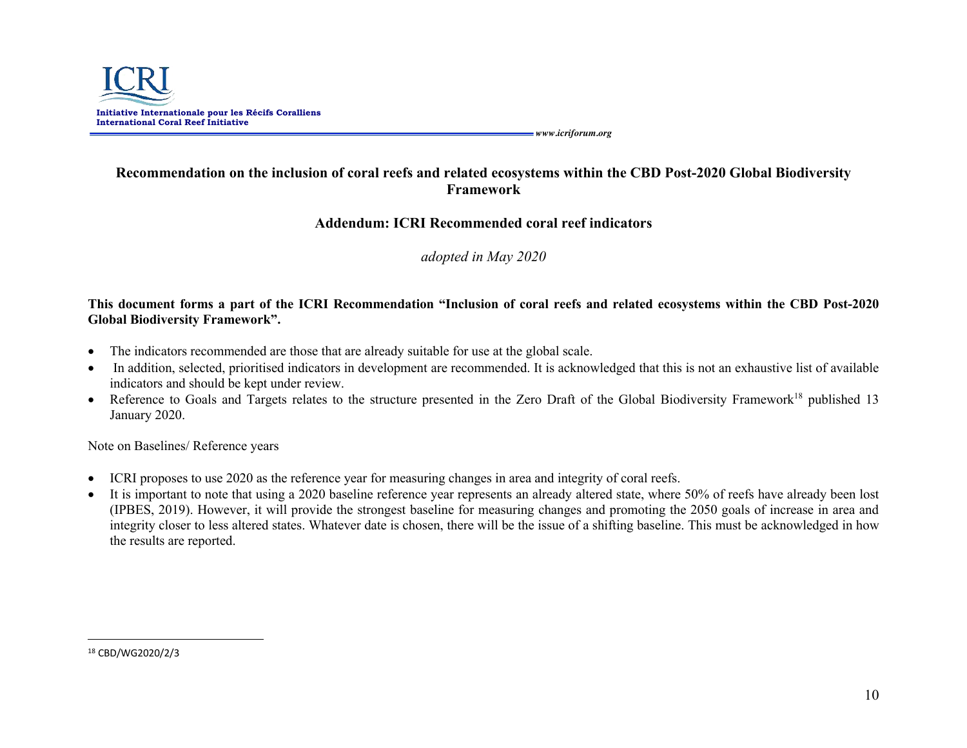

# **Recommendation on the inclusion of coral reefs and related ecosystems within the CBD Post-2020 Global Biodiversity Framework**

## **Addendum: ICRI Recommended coral reef indicators**

*adopted in May 2020*

## **This document forms a part of the ICRI Recommendation "Inclusion of coral reefs and related ecosystems within the CBD Post-2020 Global Biodiversity Framework".**

- The indicators recommended are those that are already suitable for use at the global scale.
- In addition, selected, prioritised indicators in development are recommended. It is acknowledged that this is not an exhaustive list of available indicators and should be kept under review.
- Reference to Goals and Targets relates to the structure presented in the Zero Draft of the Global Biodiversity Framework<sup>18</sup> published 13 January 2020.

Note on Baselines/ Reference years

- ICRI proposes to use 2020 as the reference year for measuring changes in area and integrity of coral reefs.
- It is important to note that using a 2020 baseline reference year represents an already altered state, where 50% of reefs have already been lost (IPBES, 2019). However, it will provide the strongest baseline for measuring changes and promoting the 2050 goals of increase in area and integrity closer to less altered states. Whatever date is chosen, there will be the issue of a shifting baseline. This must be acknowledged in how the results are reported.

<sup>18</sup> CBD/WG2020/2/3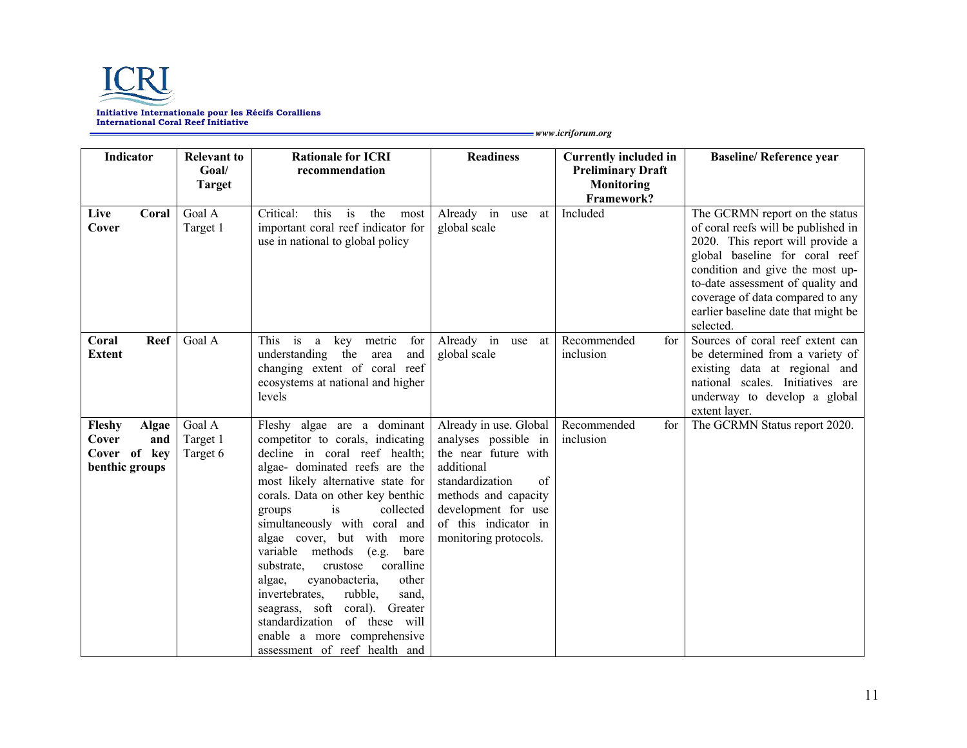

| <b>Indicator</b>                                                         | <b>Relevant to</b>             | <b>Rationale for ICRI</b>                                                                                                                                                                                                                                                                                                                                                                                                                                                                                                                                                                             | <b>Readiness</b>                                                                                                                                                                                              | <b>Currently included in</b>    | <b>Baseline/ Reference year</b>                                                                                                                                                                                                                                                                             |
|--------------------------------------------------------------------------|--------------------------------|-------------------------------------------------------------------------------------------------------------------------------------------------------------------------------------------------------------------------------------------------------------------------------------------------------------------------------------------------------------------------------------------------------------------------------------------------------------------------------------------------------------------------------------------------------------------------------------------------------|---------------------------------------------------------------------------------------------------------------------------------------------------------------------------------------------------------------|---------------------------------|-------------------------------------------------------------------------------------------------------------------------------------------------------------------------------------------------------------------------------------------------------------------------------------------------------------|
|                                                                          | Goal/                          | recommendation                                                                                                                                                                                                                                                                                                                                                                                                                                                                                                                                                                                        |                                                                                                                                                                                                               | <b>Preliminary Draft</b>        |                                                                                                                                                                                                                                                                                                             |
|                                                                          | <b>Target</b>                  |                                                                                                                                                                                                                                                                                                                                                                                                                                                                                                                                                                                                       |                                                                                                                                                                                                               | Monitoring<br>Framework?        |                                                                                                                                                                                                                                                                                                             |
| Live<br>Coral<br>Cover                                                   | Goal A<br>Target 1             | Critical:<br>this<br>the<br>is<br>most<br>important coral reef indicator for<br>use in national to global policy                                                                                                                                                                                                                                                                                                                                                                                                                                                                                      | Already in use at<br>global scale                                                                                                                                                                             | Included                        | The GCRMN report on the status<br>of coral reefs will be published in<br>2020. This report will provide a<br>global baseline for coral reef<br>condition and give the most up-<br>to-date assessment of quality and<br>coverage of data compared to any<br>earlier baseline date that might be<br>selected. |
| Reef<br>Coral<br><b>Extent</b>                                           | Goal A                         | This is<br>key metric<br>for<br>a<br>understanding the<br>and<br>area<br>changing extent of coral reef<br>ecosystems at national and higher<br>levels                                                                                                                                                                                                                                                                                                                                                                                                                                                 | Already in<br>at<br>use<br>global scale                                                                                                                                                                       | Recommended<br>for<br>inclusion | Sources of coral reef extent can<br>be determined from a variety of<br>existing data at regional and<br>national scales. Initiatives are<br>underway to develop a global<br>extent layer.                                                                                                                   |
| Fleshy<br><b>Algae</b><br>Cover<br>and<br>Cover of key<br>benthic groups | Goal A<br>Target 1<br>Target 6 | Fleshy algae are a dominant<br>competitor to corals, indicating<br>decline in coral reef health;<br>algae- dominated reefs are the<br>most likely alternative state for<br>corals. Data on other key benthic<br>collected<br>is<br>groups<br>simultaneously with coral and<br>algae cover, but with more<br>variable methods<br>(e.g.<br>bare<br>coralline<br>substrate,<br>crustose<br>cyanobacteria,<br>other<br>algae,<br>rubble,<br>invertebrates.<br>sand,<br>seagrass, soft coral). Greater<br>of these will<br>standardization<br>enable a more comprehensive<br>assessment of reef health and | Already in use. Global<br>analyses possible in<br>the near future with<br>additional<br>standardization<br>of<br>methods and capacity<br>development for use<br>of this indicator in<br>monitoring protocols. | Recommended<br>for<br>inclusion | The GCRMN Status report 2020.                                                                                                                                                                                                                                                                               |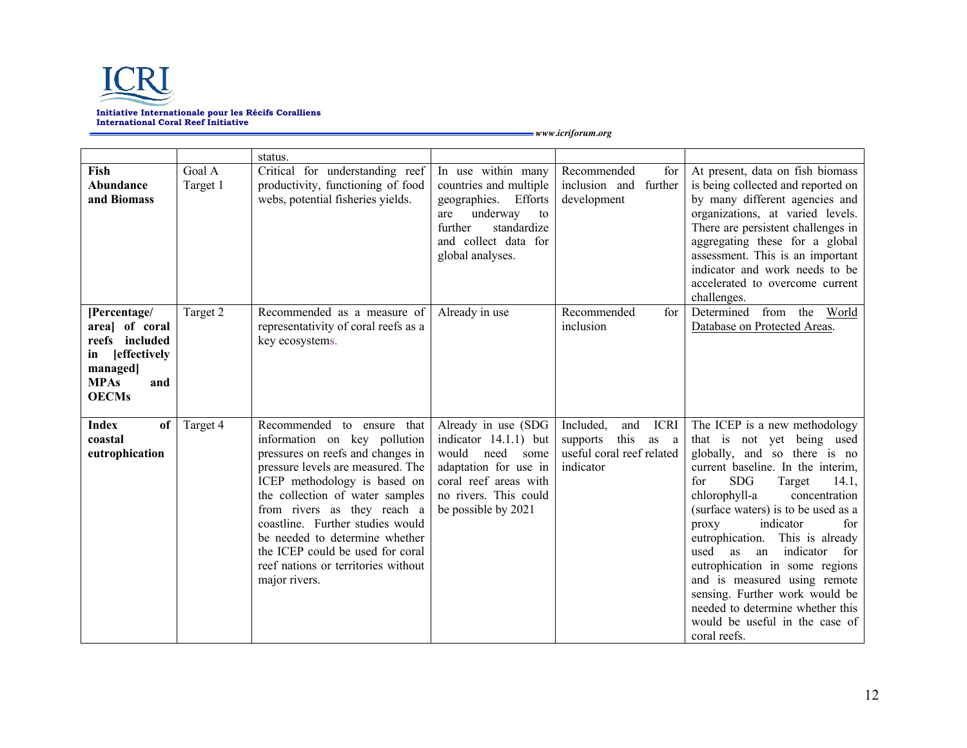

|                                                                                                                                |                    | status.                                                                                                                                                                                                                                                                                                                                                                                                     |                                                                                                                                                                            |                                                                                                                     |                                                                                                                                                                                                                                                                                                                                                                                                                                                                                                                                                     |
|--------------------------------------------------------------------------------------------------------------------------------|--------------------|-------------------------------------------------------------------------------------------------------------------------------------------------------------------------------------------------------------------------------------------------------------------------------------------------------------------------------------------------------------------------------------------------------------|----------------------------------------------------------------------------------------------------------------------------------------------------------------------------|---------------------------------------------------------------------------------------------------------------------|-----------------------------------------------------------------------------------------------------------------------------------------------------------------------------------------------------------------------------------------------------------------------------------------------------------------------------------------------------------------------------------------------------------------------------------------------------------------------------------------------------------------------------------------------------|
| Fish<br>Abundance<br>and Biomass                                                                                               | Goal A<br>Target 1 | Critical for understanding reef<br>productivity, functioning of food<br>webs, potential fisheries yields.                                                                                                                                                                                                                                                                                                   | In use within many<br>countries and multiple<br>geographies. Efforts<br>underway<br>are<br>to<br>further<br>standardize<br>and collect data for<br>global analyses.        | Recommended<br>for<br>inclusion and further<br>development                                                          | At present, data on fish biomass<br>is being collected and reported on<br>by many different agencies and<br>organizations, at varied levels.<br>There are persistent challenges in<br>aggregating these for a global<br>assessment. This is an important<br>indicator and work needs to be<br>accelerated to overcome current<br>challenges.                                                                                                                                                                                                        |
| [Percentage/<br>area] of coral<br>reefs included<br><b>effectively</b><br>in<br>managed]<br><b>MPAs</b><br>and<br><b>OECMs</b> | Target 2           | Recommended as a measure of<br>representativity of coral reefs as a<br>key ecosystems.                                                                                                                                                                                                                                                                                                                      | Already in use                                                                                                                                                             | Recommended<br>for<br>inclusion                                                                                     | Determined<br>from the World<br>Database on Protected Areas.                                                                                                                                                                                                                                                                                                                                                                                                                                                                                        |
| of<br>Index<br>coastal<br>eutrophication                                                                                       | Target 4           | Recommended to ensure<br>that<br>information on key pollution<br>pressures on reefs and changes in<br>pressure levels are measured. The<br>ICEP methodology is based on<br>the collection of water samples<br>from rivers as they reach a<br>coastline. Further studies would<br>be needed to determine whether<br>the ICEP could be used for coral<br>reef nations or territories without<br>major rivers. | Already in use (SDG<br>indicator $14.1.1$ ) but<br>would<br>need<br>some<br>adaptation for use in<br>coral reef areas with<br>no rivers. This could<br>be possible by 2021 | Included,<br><b>ICRI</b><br>and<br>this<br>supports<br>as<br><sub>a</sub><br>useful coral reef related<br>indicator | The ICEP is a new methodology<br>that is not yet being used<br>globally, and so there is no<br>current baseline. In the interim,<br><b>SDG</b><br>Target<br>for<br>14.1,<br>chlorophyll-a<br>concentration<br>(surface waters) is to be used as a<br>indicator<br>for<br>proxy<br>eutrophication. This is already<br>used<br>indicator<br>as<br>an<br>for<br>eutrophication in some regions<br>and is measured using remote<br>sensing. Further work would be<br>needed to determine whether this<br>would be useful in the case of<br>coral reefs. |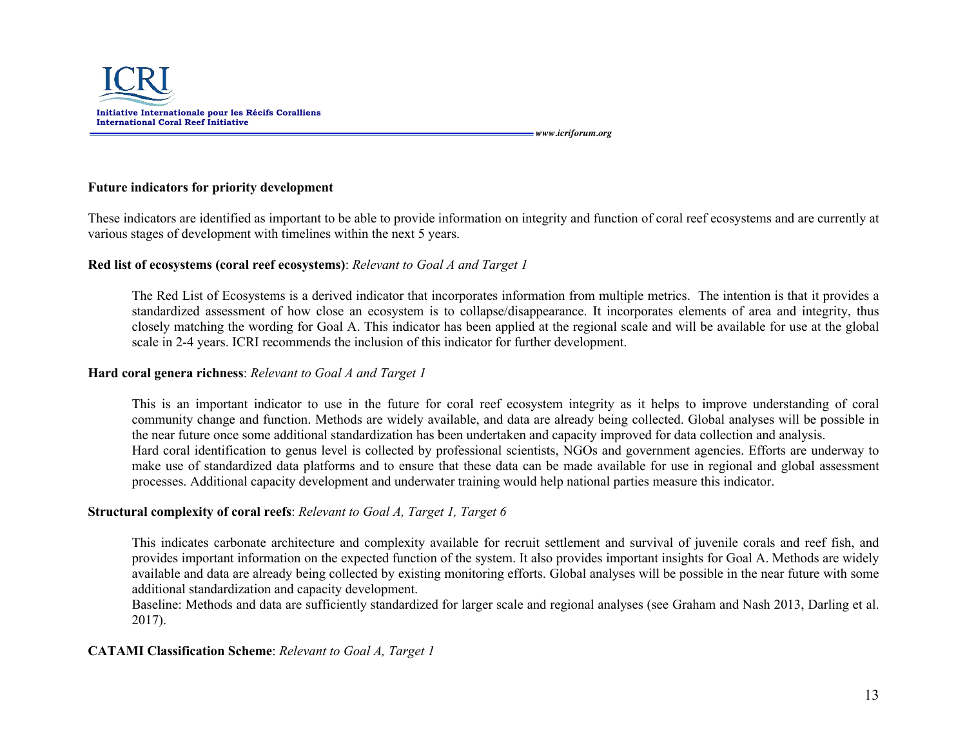

#### **Future indicators for priority development**

These indicators are identified as important to be able to provide information on integrity and function of coral reef ecosystems and are currently at various stages of development with timelines within the next 5 years.

#### **Red list of ecosystems (coral reef ecosystems)**: *Relevant to Goal A and Target 1*

The Red List of Ecosystems is a derived indicator that incorporates information from multiple metrics. The intention is that it provides a standardized assessment of how close an ecosystem is to collapse/disappearance. It incorporates elements of area and integrity, thus closely matching the wording for Goal A. This indicator has been applied at the regional scale and will be available for use at the global scale in 2-4 years. ICRI recommends the inclusion of this indicator for further development.

#### **Hard coral genera richness**: *Relevant to Goal A and Target 1*

This is an important indicator to use in the future for coral reef ecosystem integrity as it helps to improve understanding of coral community change and function. Methods are widely available, and data are already being collected. Global analyses will be possible in the near future once some additional standardization has been undertaken and capacity improved for data collection and analysis. Hard coral identification to genus level is collected by professional scientists, NGOs and government agencies. Efforts are underway to make use of standardized data platforms and to ensure that these data can be made available for use in regional and global assessment processes. Additional capacity development and underwater training would help national parties measure this indicator.

#### **Structural complexity of coral reefs**: *Relevant to Goal A, Target 1, Target 6*

This indicates carbonate architecture and complexity available for recruit settlement and survival of juvenile corals and reef fish, and provides important information on the expected function of the system. It also provides important insights for Goal A. Methods are widely available and data are already being collected by existing monitoring efforts. Global analyses will be possible in the near future with some additional standardization and capacity development.

Baseline: Methods and data are sufficiently standardized for larger scale and regional analyses (see Graham and Nash 2013, Darling et al. 2017).

#### **CATAMI Classification Scheme**: *Relevant to Goal A, Target 1*